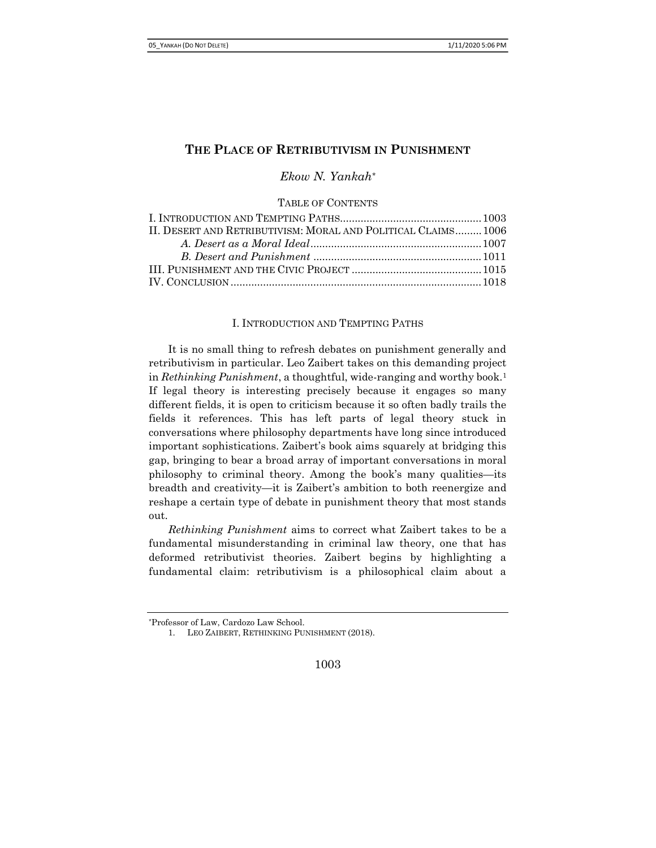# THE PLACE OF RETRIBUTIVISM IN PUNISHMENT

Ekow N. Yankah\*

TABLE OF CONTENTS

| II. DESERT AND RETRIBUTIVISM: MORAL AND POLITICAL CLAIMS 1006 |  |
|---------------------------------------------------------------|--|
|                                                               |  |
|                                                               |  |
|                                                               |  |
|                                                               |  |

### I. INTRODUCTION AND TEMPTING PATHS

It is no small thing to refresh debates on punishment generally and retributivism in particular. Leo Zaibert takes on this demanding project in Rethinking Punishment, a thoughtful, wide-ranging and worthy book.<sup>1</sup> If legal theory is interesting precisely because it engages so many different fields, it is open to criticism because it so often badly trails the fields it references. This has left parts of legal theory stuck in conversations where philosophy departments have long since introduced important sophistications. Zaibert's book aims squarely at bridging this gap, bringing to bear a broad array of important conversations in moral philosophy to criminal theory. Among the book's many qualities—its breadth and creativity—it is Zaibert's ambition to both reenergize and reshape a certain type of debate in punishment theory that most stands out.

Rethinking Punishment aims to correct what Zaibert takes to be a fundamental misunderstanding in criminal law theory, one that has deformed retributivist theories. Zaibert begins by highlighting a fundamental claim: retributivism is a philosophical claim about a

1003

<sup>\*</sup>Professor of Law, Cardozo Law School.

<sup>1.</sup> LEO ZAIBERT, RETHINKING PUNISHMENT (2018).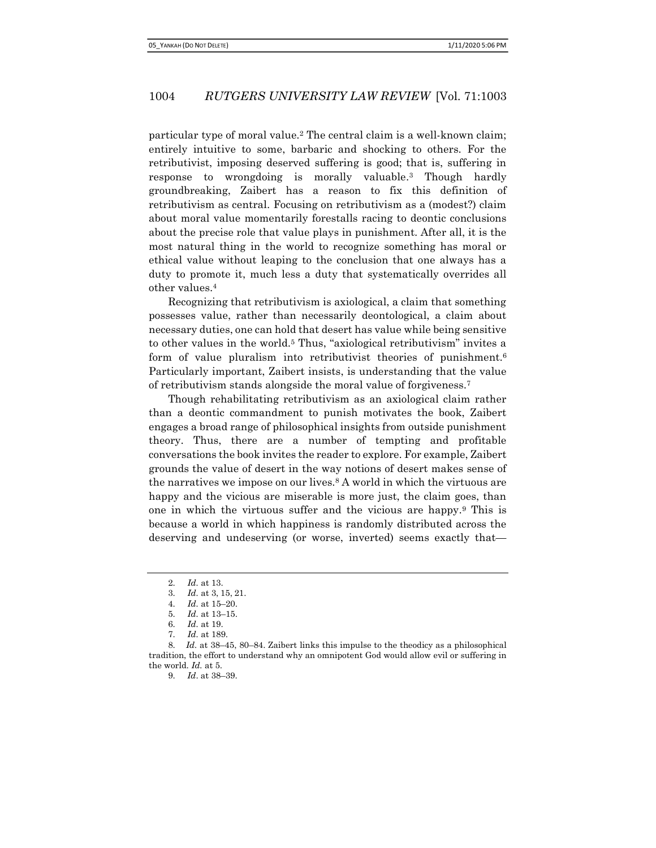particular type of moral value.2 The central claim is a well-known claim; entirely intuitive to some, barbaric and shocking to others. For the retributivist, imposing deserved suffering is good; that is, suffering in response to wrongdoing is morally valuable.3 Though hardly groundbreaking, Zaibert has a reason to fix this definition of retributivism as central. Focusing on retributivism as a (modest?) claim about moral value momentarily forestalls racing to deontic conclusions about the precise role that value plays in punishment. After all, it is the most natural thing in the world to recognize something has moral or ethical value without leaping to the conclusion that one always has a duty to promote it, much less a duty that systematically overrides all other values.<sup>4</sup>

Recognizing that retributivism is axiological, a claim that something possesses value, rather than necessarily deontological, a claim about necessary duties, one can hold that desert has value while being sensitive to other values in the world.5 Thus, "axiological retributivism" invites a form of value pluralism into retributivist theories of punishment.<sup>6</sup> Particularly important, Zaibert insists, is understanding that the value of retributivism stands alongside the moral value of forgiveness.<sup>7</sup>

Though rehabilitating retributivism as an axiological claim rather than a deontic commandment to punish motivates the book, Zaibert engages a broad range of philosophical insights from outside punishment theory. Thus, there are a number of tempting and profitable conversations the book invites the reader to explore. For example, Zaibert grounds the value of desert in the way notions of desert makes sense of the narratives we impose on our lives.8 A world in which the virtuous are happy and the vicious are miserable is more just, the claim goes, than one in which the virtuous suffer and the vicious are happy.9 This is because a world in which happiness is randomly distributed across the deserving and undeserving (or worse, inverted) seems exactly that—

<sup>2.</sup> Id. at 13.

<sup>3.</sup> Id. at 3, 15, 21.

<sup>4.</sup> Id. at 15–20.

<sup>5.</sup> Id. at 13–15.

<sup>6.</sup> Id. at 19.

<sup>7.</sup> Id. at 189.

<sup>8.</sup> Id. at 38–45, 80–84. Zaibert links this impulse to the theodicy as a philosophical tradition, the effort to understand why an omnipotent God would allow evil or suffering in the world. Id. at 5.

<sup>9.</sup> Id. at 38–39.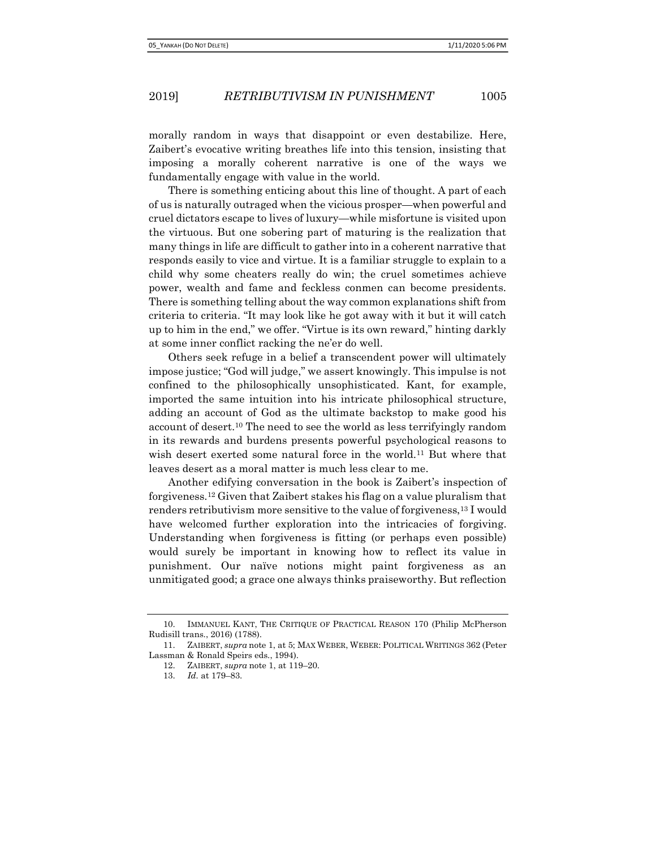morally random in ways that disappoint or even destabilize. Here, Zaibert's evocative writing breathes life into this tension, insisting that imposing a morally coherent narrative is one of the ways we fundamentally engage with value in the world.

There is something enticing about this line of thought. A part of each of us is naturally outraged when the vicious prosper—when powerful and cruel dictators escape to lives of luxury—while misfortune is visited upon the virtuous. But one sobering part of maturing is the realization that many things in life are difficult to gather into in a coherent narrative that responds easily to vice and virtue. It is a familiar struggle to explain to a child why some cheaters really do win; the cruel sometimes achieve power, wealth and fame and feckless conmen can become presidents. There is something telling about the way common explanations shift from criteria to criteria. "It may look like he got away with it but it will catch up to him in the end," we offer. "Virtue is its own reward," hinting darkly at some inner conflict racking the ne'er do well.

Others seek refuge in a belief a transcendent power will ultimately impose justice; "God will judge," we assert knowingly. This impulse is not confined to the philosophically unsophisticated. Kant, for example, imported the same intuition into his intricate philosophical structure, adding an account of God as the ultimate backstop to make good his account of desert.10 The need to see the world as less terrifyingly random in its rewards and burdens presents powerful psychological reasons to wish desert exerted some natural force in the world.11 But where that leaves desert as a moral matter is much less clear to me.

Another edifying conversation in the book is Zaibert's inspection of forgiveness.12 Given that Zaibert stakes his flag on a value pluralism that renders retributivism more sensitive to the value of forgiveness,<sup>13</sup> I would have welcomed further exploration into the intricacies of forgiving. Understanding when forgiveness is fitting (or perhaps even possible) would surely be important in knowing how to reflect its value in punishment. Our naïve notions might paint forgiveness as an unmitigated good; a grace one always thinks praiseworthy. But reflection

<sup>10.</sup> IMMANUEL KANT, THE CRITIQUE OF PRACTICAL REASON 170 (Philip McPherson Rudisill trans., 2016) (1788).

<sup>11.</sup> ZAIBERT, supra note 1, at 5; MAX WEBER, WEBER: POLITICAL WRITINGS 362 (Peter Lassman & Ronald Speirs eds., 1994).

<sup>12.</sup> ZAIBERT, supra note 1, at 119–20.

<sup>13.</sup> Id. at 179–83.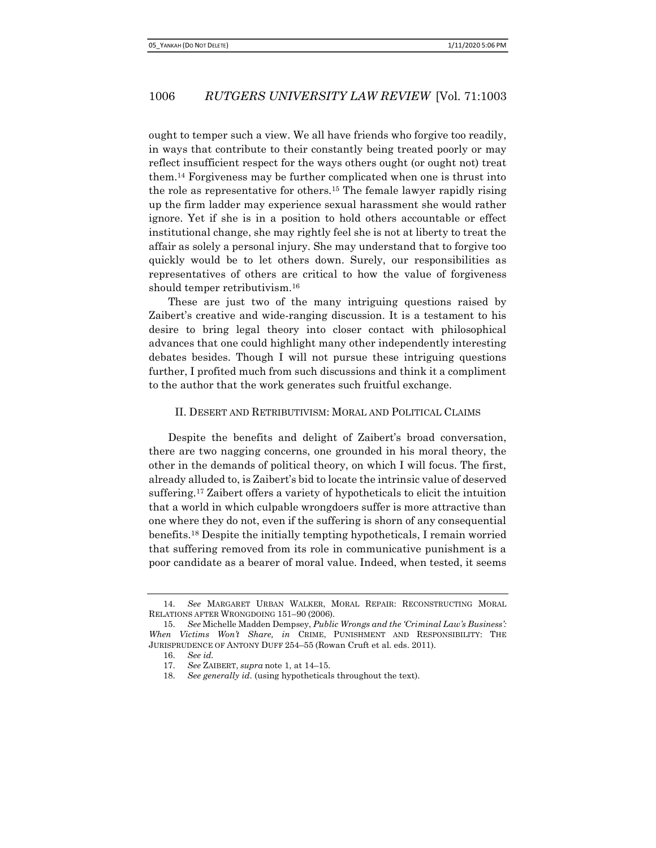ought to temper such a view. We all have friends who forgive too readily, in ways that contribute to their constantly being treated poorly or may reflect insufficient respect for the ways others ought (or ought not) treat them.14 Forgiveness may be further complicated when one is thrust into the role as representative for others.15 The female lawyer rapidly rising up the firm ladder may experience sexual harassment she would rather ignore. Yet if she is in a position to hold others accountable or effect institutional change, she may rightly feel she is not at liberty to treat the affair as solely a personal injury. She may understand that to forgive too quickly would be to let others down. Surely, our responsibilities as representatives of others are critical to how the value of forgiveness should temper retributivism.<sup>16</sup>

These are just two of the many intriguing questions raised by Zaibert's creative and wide-ranging discussion. It is a testament to his desire to bring legal theory into closer contact with philosophical advances that one could highlight many other independently interesting debates besides. Though I will not pursue these intriguing questions further, I profited much from such discussions and think it a compliment to the author that the work generates such fruitful exchange.

#### II. DESERT AND RETRIBUTIVISM: MORAL AND POLITICAL CLAIMS

Despite the benefits and delight of Zaibert's broad conversation, there are two nagging concerns, one grounded in his moral theory, the other in the demands of political theory, on which I will focus. The first, already alluded to, is Zaibert's bid to locate the intrinsic value of deserved suffering.17 Zaibert offers a variety of hypotheticals to elicit the intuition that a world in which culpable wrongdoers suffer is more attractive than one where they do not, even if the suffering is shorn of any consequential benefits.18 Despite the initially tempting hypotheticals, I remain worried that suffering removed from its role in communicative punishment is a poor candidate as a bearer of moral value. Indeed, when tested, it seems

<sup>14.</sup> See MARGARET URBAN WALKER, MORAL REPAIR: RECONSTRUCTING MORAL RELATIONS AFTER WRONGDOING 151–90 (2006).

<sup>15.</sup> See Michelle Madden Dempsey, Public Wrongs and the 'Criminal Law's Business': When Victims Won't Share, in CRIME, PUNISHMENT AND RESPONSIBILITY: THE JURISPRUDENCE OF ANTONY DUFF 254–55 (Rowan Cruft et al. eds. 2011).

<sup>16.</sup> See id.

<sup>17.</sup> See ZAIBERT, supra note 1, at 14–15.

<sup>18.</sup> See generally id. (using hypotheticals throughout the text).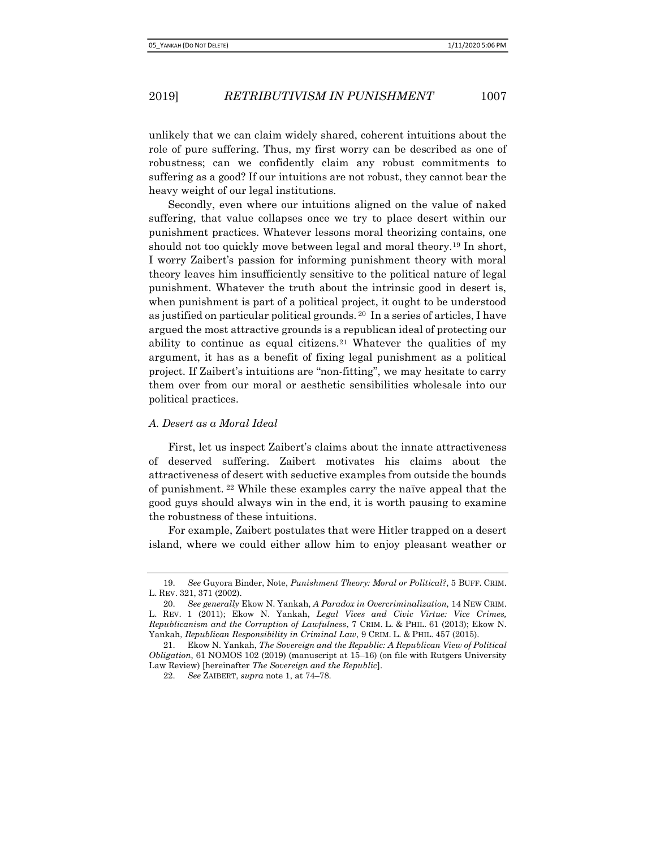unlikely that we can claim widely shared, coherent intuitions about the role of pure suffering. Thus, my first worry can be described as one of robustness; can we confidently claim any robust commitments to suffering as a good? If our intuitions are not robust, they cannot bear the heavy weight of our legal institutions.

Secondly, even where our intuitions aligned on the value of naked suffering, that value collapses once we try to place desert within our punishment practices. Whatever lessons moral theorizing contains, one should not too quickly move between legal and moral theory.19 In short, I worry Zaibert's passion for informing punishment theory with moral theory leaves him insufficiently sensitive to the political nature of legal punishment. Whatever the truth about the intrinsic good in desert is, when punishment is part of a political project, it ought to be understood as justified on particular political grounds. 20 In a series of articles, I have argued the most attractive grounds is a republican ideal of protecting our ability to continue as equal citizens.21 Whatever the qualities of my argument, it has as a benefit of fixing legal punishment as a political project. If Zaibert's intuitions are "non-fitting", we may hesitate to carry them over from our moral or aesthetic sensibilities wholesale into our political practices.

### A. Desert as a Moral Ideal

First, let us inspect Zaibert's claims about the innate attractiveness of deserved suffering. Zaibert motivates his claims about the attractiveness of desert with seductive examples from outside the bounds of punishment. 22 While these examples carry the naïve appeal that the good guys should always win in the end, it is worth pausing to examine the robustness of these intuitions.

For example, Zaibert postulates that were Hitler trapped on a desert island, where we could either allow him to enjoy pleasant weather or

<sup>19.</sup> See Guyora Binder, Note, Punishment Theory: Moral or Political?, 5 BUFF. CRIM. L. REV. 321, 371 (2002).

<sup>20.</sup> See generally Ekow N. Yankah, A Paradox in Overcriminalization, 14 NEW CRIM. L. REV. 1 (2011); Ekow N. Yankah, Legal Vices and Civic Virtue: Vice Crimes, Republicanism and the Corruption of Lawfulness, 7 CRIM. L. & PHIL. 61 (2013); Ekow N. Yankah, Republican Responsibility in Criminal Law, 9 CRIM. L. & PHIL. 457 (2015).

<sup>21.</sup> Ekow N. Yankah, The Sovereign and the Republic: A Republican View of Political Obligation, 61 NOMOS 102 (2019) (manuscript at 15–16) (on file with Rutgers University Law Review) [hereinafter The Sovereign and the Republic].

<sup>22.</sup> See ZAIBERT, supra note 1, at 74–78.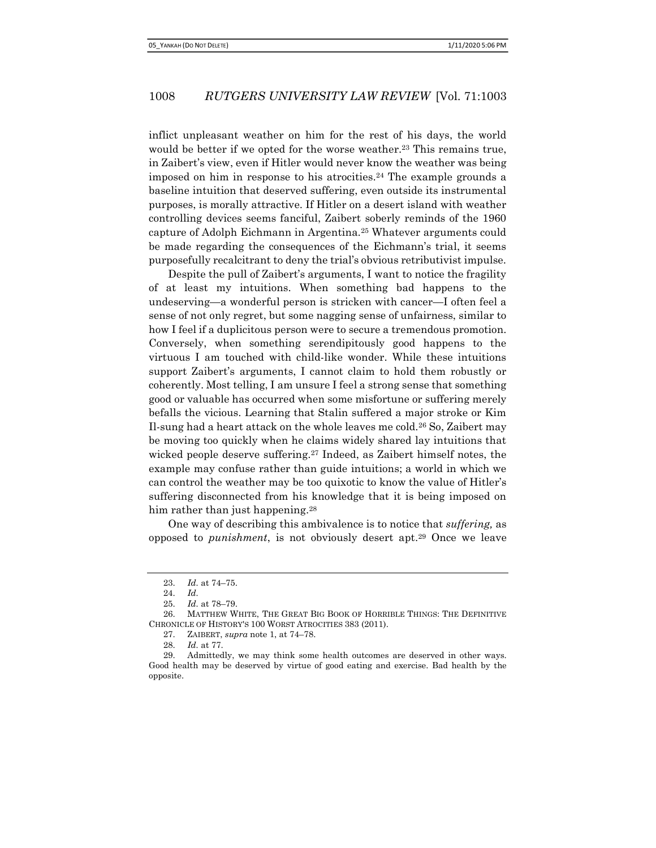inflict unpleasant weather on him for the rest of his days, the world would be better if we opted for the worse weather.<sup>23</sup> This remains true, in Zaibert's view, even if Hitler would never know the weather was being imposed on him in response to his atrocities.24 The example grounds a baseline intuition that deserved suffering, even outside its instrumental purposes, is morally attractive. If Hitler on a desert island with weather controlling devices seems fanciful, Zaibert soberly reminds of the 1960 capture of Adolph Eichmann in Argentina.25 Whatever arguments could be made regarding the consequences of the Eichmann's trial, it seems purposefully recalcitrant to deny the trial's obvious retributivist impulse.

Despite the pull of Zaibert's arguments, I want to notice the fragility of at least my intuitions. When something bad happens to the undeserving—a wonderful person is stricken with cancer—I often feel a sense of not only regret, but some nagging sense of unfairness, similar to how I feel if a duplicitous person were to secure a tremendous promotion. Conversely, when something serendipitously good happens to the virtuous I am touched with child-like wonder. While these intuitions support Zaibert's arguments, I cannot claim to hold them robustly or coherently. Most telling, I am unsure I feel a strong sense that something good or valuable has occurred when some misfortune or suffering merely befalls the vicious. Learning that Stalin suffered a major stroke or Kim Il-sung had a heart attack on the whole leaves me cold.26 So, Zaibert may be moving too quickly when he claims widely shared lay intuitions that wicked people deserve suffering.27 Indeed, as Zaibert himself notes, the example may confuse rather than guide intuitions; a world in which we can control the weather may be too quixotic to know the value of Hitler's suffering disconnected from his knowledge that it is being imposed on him rather than just happening.<sup>28</sup>

One way of describing this ambivalence is to notice that suffering, as opposed to punishment, is not obviously desert apt.29 Once we leave

<sup>23.</sup> Id. at 74–75.

<sup>24.</sup> Id.

<sup>25.</sup> Id. at 78–79.

<sup>26.</sup> MATTHEW WHITE, THE GREAT BIG BOOK OF HORRIBLE THINGS: THE DEFINITIVE CHRONICLE OF HISTORY'S 100 WORST ATROCITIES 383 (2011).

<sup>27.</sup> ZAIBERT, supra note 1, at 74–78.

<sup>28.</sup> Id. at 77.

<sup>29.</sup> Admittedly, we may think some health outcomes are deserved in other ways. Good health may be deserved by virtue of good eating and exercise. Bad health by the opposite.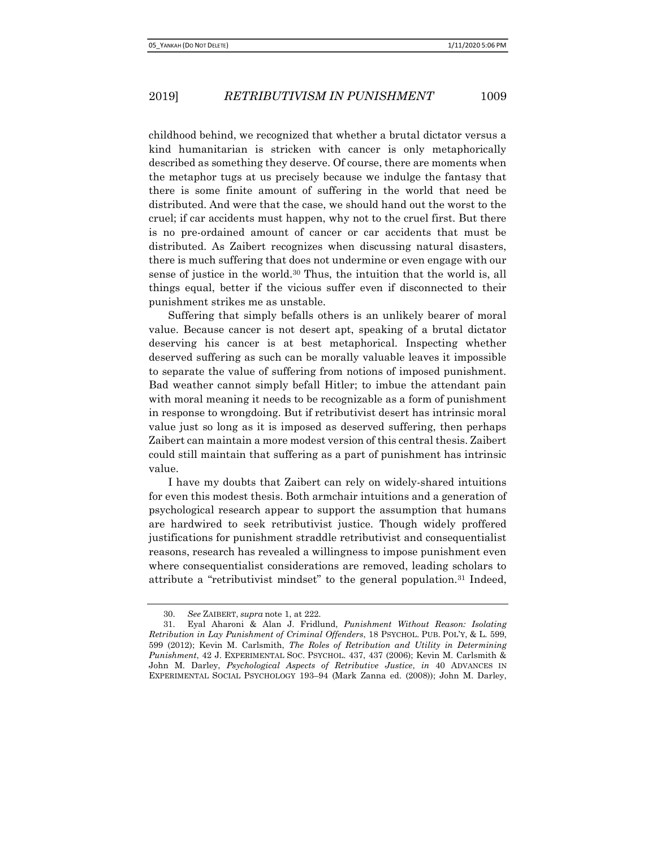childhood behind, we recognized that whether a brutal dictator versus a kind humanitarian is stricken with cancer is only metaphorically described as something they deserve. Of course, there are moments when the metaphor tugs at us precisely because we indulge the fantasy that there is some finite amount of suffering in the world that need be distributed. And were that the case, we should hand out the worst to the cruel; if car accidents must happen, why not to the cruel first. But there is no pre-ordained amount of cancer or car accidents that must be distributed. As Zaibert recognizes when discussing natural disasters, there is much suffering that does not undermine or even engage with our sense of justice in the world.30 Thus, the intuition that the world is, all things equal, better if the vicious suffer even if disconnected to their punishment strikes me as unstable.

Suffering that simply befalls others is an unlikely bearer of moral value. Because cancer is not desert apt, speaking of a brutal dictator deserving his cancer is at best metaphorical. Inspecting whether deserved suffering as such can be morally valuable leaves it impossible to separate the value of suffering from notions of imposed punishment. Bad weather cannot simply befall Hitler; to imbue the attendant pain with moral meaning it needs to be recognizable as a form of punishment in response to wrongdoing. But if retributivist desert has intrinsic moral value just so long as it is imposed as deserved suffering, then perhaps Zaibert can maintain a more modest version of this central thesis. Zaibert could still maintain that suffering as a part of punishment has intrinsic value.

I have my doubts that Zaibert can rely on widely-shared intuitions for even this modest thesis. Both armchair intuitions and a generation of psychological research appear to support the assumption that humans are hardwired to seek retributivist justice. Though widely proffered justifications for punishment straddle retributivist and consequentialist reasons, research has revealed a willingness to impose punishment even where consequentialist considerations are removed, leading scholars to attribute a "retributivist mindset" to the general population.31 Indeed,

<sup>30.</sup> See ZAIBERT, supra note 1, at 222.

<sup>31.</sup> Eyal Aharoni & Alan J. Fridlund, Punishment Without Reason: Isolating Retribution in Lay Punishment of Criminal Offenders, 18 PSYCHOL. PUB. POL'Y, & L. 599, 599 (2012); Kevin M. Carlsmith, The Roles of Retribution and Utility in Determining Punishment, 42 J. EXPERIMENTAL SOC. PSYCHOL. 437, 437 (2006); Kevin M. Carlsmith & John M. Darley, Psychological Aspects of Retributive Justice, in 40 ADVANCES IN EXPERIMENTAL SOCIAL PSYCHOLOGY 193–94 (Mark Zanna ed. (2008)); John M. Darley,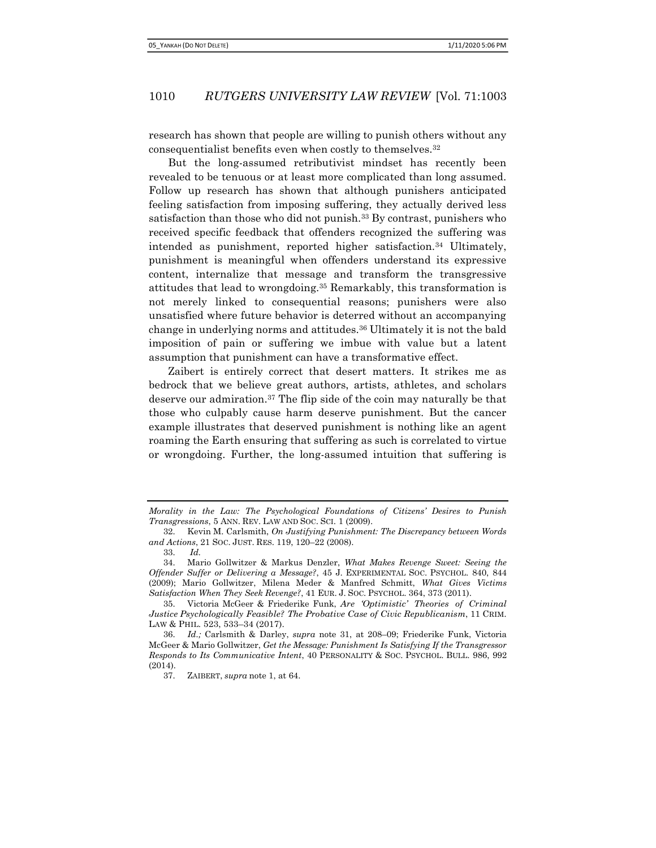research has shown that people are willing to punish others without any consequentialist benefits even when costly to themselves.<sup>32</sup>

But the long-assumed retributivist mindset has recently been revealed to be tenuous or at least more complicated than long assumed. Follow up research has shown that although punishers anticipated feeling satisfaction from imposing suffering, they actually derived less satisfaction than those who did not punish.33 By contrast, punishers who received specific feedback that offenders recognized the suffering was intended as punishment, reported higher satisfaction.34 Ultimately, punishment is meaningful when offenders understand its expressive content, internalize that message and transform the transgressive attitudes that lead to wrongdoing.35 Remarkably, this transformation is not merely linked to consequential reasons; punishers were also unsatisfied where future behavior is deterred without an accompanying change in underlying norms and attitudes.36 Ultimately it is not the bald imposition of pain or suffering we imbue with value but a latent assumption that punishment can have a transformative effect.

Zaibert is entirely correct that desert matters. It strikes me as bedrock that we believe great authors, artists, athletes, and scholars deserve our admiration.37 The flip side of the coin may naturally be that those who culpably cause harm deserve punishment. But the cancer example illustrates that deserved punishment is nothing like an agent roaming the Earth ensuring that suffering as such is correlated to virtue or wrongdoing. Further, the long-assumed intuition that suffering is

Morality in the Law: The Psychological Foundations of Citizens' Desires to Punish Transgressions, 5 ANN. REV. LAW AND SOC. SCI. 1 (2009).

<sup>32.</sup> Kevin M. Carlsmith, On Justifying Punishment: The Discrepancy between Words and Actions, 21 SOC. JUST. RES. 119, 120–22 (2008).

<sup>33.</sup> Id.

<sup>34.</sup> Mario Gollwitzer & Markus Denzler, What Makes Revenge Sweet: Seeing the Offender Suffer or Delivering a Message?, 45 J. EXPERIMENTAL SOC. PSYCHOL. 840, 844 (2009); Mario Gollwitzer, Milena Meder & Manfred Schmitt, What Gives Victims Satisfaction When They Seek Revenge?, 41 EUR. J. SOC. PSYCHOL. 364, 373 (2011).

<sup>35.</sup> Victoria McGeer & Friederike Funk, Are 'Optimistic' Theories of Criminal Justice Psychologically Feasible? The Probative Case of Civic Republicanism, 11 CRIM. LAW & PHIL. 523, 533–34 (2017).

<sup>36.</sup> Id.; Carlsmith & Darley, supra note 31, at 208–09; Friederike Funk, Victoria McGeer & Mario Gollwitzer, Get the Message: Punishment Is Satisfying If the Transgressor Responds to Its Communicative Intent, 40 PERSONALITY & SOC. PSYCHOL. BULL. 986, 992 (2014).

<sup>37.</sup> ZAIBERT, supra note 1, at 64.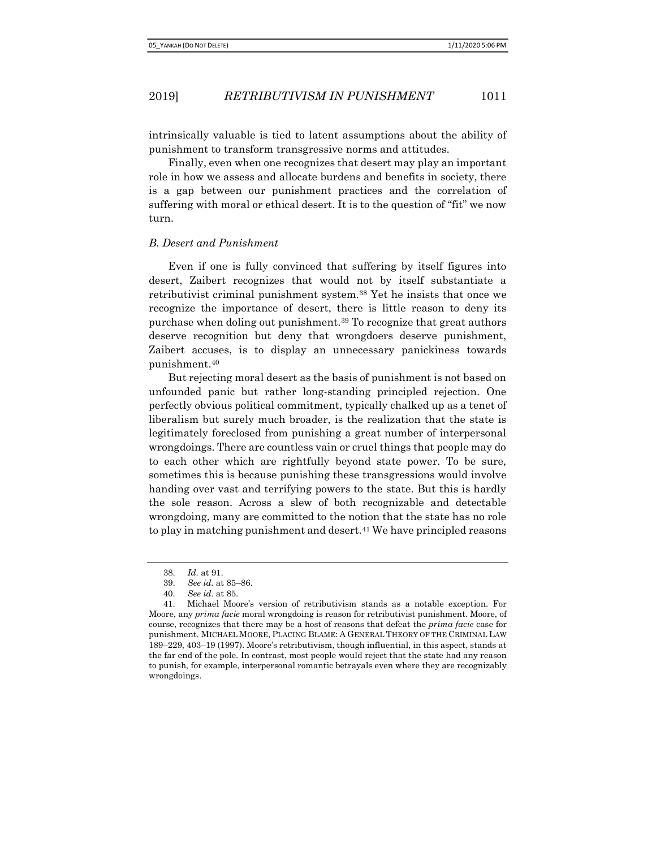intrinsically valuable is tied to latent assumptions about the ability of punishment to transform transgressive norms and attitudes.

Finally, even when one recognizes that desert may play an important role in how we assess and allocate burdens and benefits in society, there is a gap between our punishment practices and the correlation of suffering with moral or ethical desert. It is to the question of "fit" we now turn.

#### B. Desert and Punishment

Even if one is fully convinced that suffering by itself figures into desert, Zaibert recognizes that would not by itself substantiate a retributivist criminal punishment system.38 Yet he insists that once we recognize the importance of desert, there is little reason to deny its purchase when doling out punishment.39 To recognize that great authors deserve recognition but deny that wrongdoers deserve punishment, Zaibert accuses, is to display an unnecessary panickiness towards punishment.<sup>40</sup>

But rejecting moral desert as the basis of punishment is not based on unfounded panic but rather long-standing principled rejection. One perfectly obvious political commitment, typically chalked up as a tenet of liberalism but surely much broader, is the realization that the state is legitimately foreclosed from punishing a great number of interpersonal wrongdoings. There are countless vain or cruel things that people may do to each other which are rightfully beyond state power. To be sure, sometimes this is because punishing these transgressions would involve handing over vast and terrifying powers to the state. But this is hardly the sole reason. Across a slew of both recognizable and detectable wrongdoing, many are committed to the notion that the state has no role to play in matching punishment and desert.<sup>41</sup> We have principled reasons

<sup>38.</sup> Id. at 91.

<sup>39.</sup> See id. at 85–86.

<sup>40.</sup> See id. at 85.

<sup>41.</sup> Michael Moore's version of retributivism stands as a notable exception. For Moore, any prima facie moral wrongdoing is reason for retributivist punishment. Moore, of course, recognizes that there may be a host of reasons that defeat the prima facie case for punishment. MICHAEL MOORE, PLACING BLAME: A GENERAL THEORY OF THE CRIMINAL LAW 189–229, 403–19 (1997). Moore's retributivism, though influential, in this aspect, stands at the far end of the pole. In contrast, most people would reject that the state had any reason to punish, for example, interpersonal romantic betrayals even where they are recognizably wrongdoings.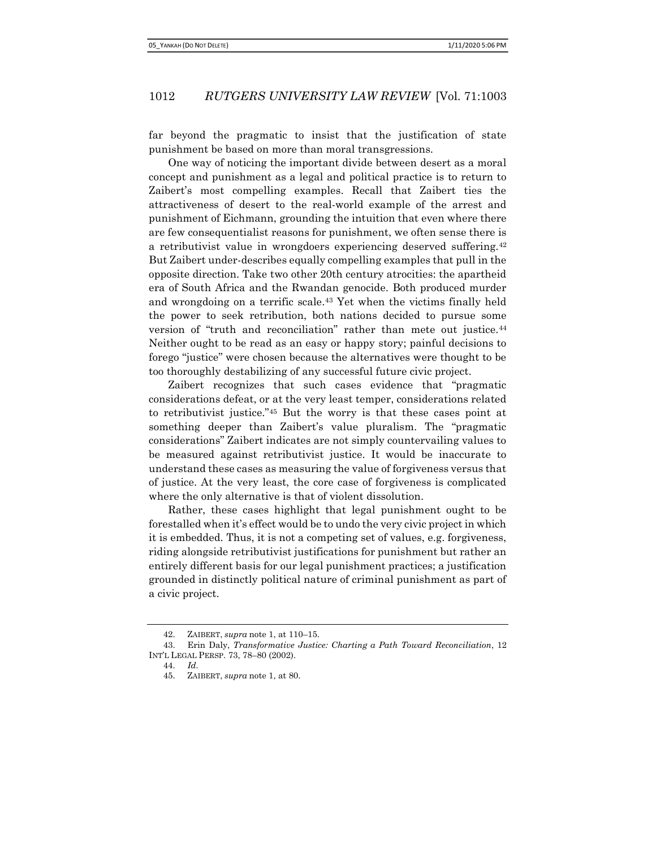far beyond the pragmatic to insist that the justification of state punishment be based on more than moral transgressions.

One way of noticing the important divide between desert as a moral concept and punishment as a legal and political practice is to return to Zaibert's most compelling examples. Recall that Zaibert ties the attractiveness of desert to the real-world example of the arrest and punishment of Eichmann, grounding the intuition that even where there are few consequentialist reasons for punishment, we often sense there is a retributivist value in wrongdoers experiencing deserved suffering.<sup>42</sup> But Zaibert under-describes equally compelling examples that pull in the opposite direction. Take two other 20th century atrocities: the apartheid era of South Africa and the Rwandan genocide. Both produced murder and wrongdoing on a terrific scale.43 Yet when the victims finally held the power to seek retribution, both nations decided to pursue some version of "truth and reconciliation" rather than mete out justice.<sup>44</sup> Neither ought to be read as an easy or happy story; painful decisions to forego "justice" were chosen because the alternatives were thought to be too thoroughly destabilizing of any successful future civic project.

Zaibert recognizes that such cases evidence that "pragmatic considerations defeat, or at the very least temper, considerations related to retributivist justice."45 But the worry is that these cases point at something deeper than Zaibert's value pluralism. The "pragmatic considerations" Zaibert indicates are not simply countervailing values to be measured against retributivist justice. It would be inaccurate to understand these cases as measuring the value of forgiveness versus that of justice. At the very least, the core case of forgiveness is complicated where the only alternative is that of violent dissolution.

Rather, these cases highlight that legal punishment ought to be forestalled when it's effect would be to undo the very civic project in which it is embedded. Thus, it is not a competing set of values, e.g. forgiveness, riding alongside retributivist justifications for punishment but rather an entirely different basis for our legal punishment practices; a justification grounded in distinctly political nature of criminal punishment as part of a civic project.

<sup>42.</sup> ZAIBERT, supra note 1, at 110–15.

<sup>43.</sup> Erin Daly, Transformative Justice: Charting a Path Toward Reconciliation, 12 INT'L LEGAL PERSP. 73, 78–80 (2002).

<sup>44.</sup> Id.

<sup>45.</sup> ZAIBERT, supra note 1, at 80.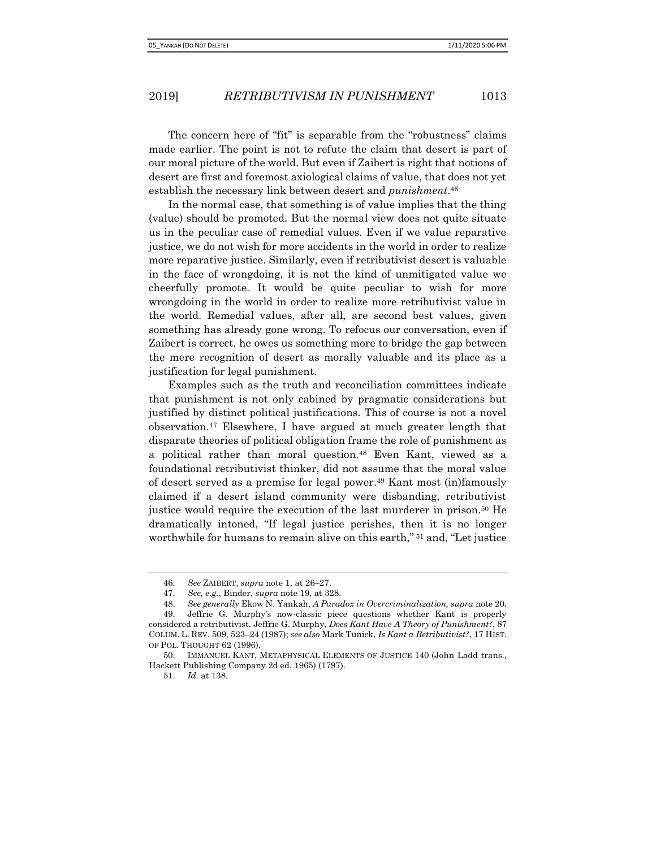The concern here of "fit" is separable from the "robustness" claims made earlier. The point is not to refute the claim that desert is part of our moral picture of the world. But even if Zaibert is right that notions of desert are first and foremost axiological claims of value, that does not yet establish the necessary link between desert and *punishment*.<sup>46</sup>

In the normal case, that something is of value implies that the thing (value) should be promoted. But the normal view does not quite situate us in the peculiar case of remedial values. Even if we value reparative justice, we do not wish for more accidents in the world in order to realize more reparative justice. Similarly, even if retributivist desert is valuable in the face of wrongdoing, it is not the kind of unmitigated value we cheerfully promote. It would be quite peculiar to wish for more wrongdoing in the world in order to realize more retributivist value in the world. Remedial values, after all, are second best values, given something has already gone wrong. To refocus our conversation, even if Zaibert is correct, he owes us something more to bridge the gap between the mere recognition of desert as morally valuable and its place as a justification for legal punishment.

Examples such as the truth and reconciliation committees indicate that punishment is not only cabined by pragmatic considerations but justified by distinct political justifications. This of course is not a novel observation.47 Elsewhere, I have argued at much greater length that disparate theories of political obligation frame the role of punishment as a political rather than moral question.48 Even Kant, viewed as a foundational retributivist thinker, did not assume that the moral value of desert served as a premise for legal power.49 Kant most (in)famously claimed if a desert island community were disbanding, retributivist justice would require the execution of the last murderer in prison.50 He dramatically intoned, "If legal justice perishes, then it is no longer worthwhile for humans to remain alive on this earth," 51 and, "Let justice

51. Id. at 138.

<sup>46.</sup> See ZAIBERT, supra note 1, at 26-27.

<sup>47.</sup> See, e.g., Binder, supra note 19, at 328.

<sup>48.</sup> See generally Ekow N. Yankah, A Paradox in Overcriminalization, supra note 20.

<sup>49.</sup> Jeffrie G. Murphy's now-classic piece questions whether Kant is properly considered a retributivist. Jeffrie G. Murphy, Does Kant Have A Theory of Punishment?, 87 COLUM. L. REV. 509, 523–24 (1987); see also Mark Tunick, Is Kant a Retributivist?, 17 HIST. OF POL. THOUGHT 62 (1996).

<sup>50.</sup> IMMANUEL KANT, METAPHYSICAL ELEMENTS OF JUSTICE 140 (John Ladd trans., Hackett Publishing Company 2d ed. 1965) (1797).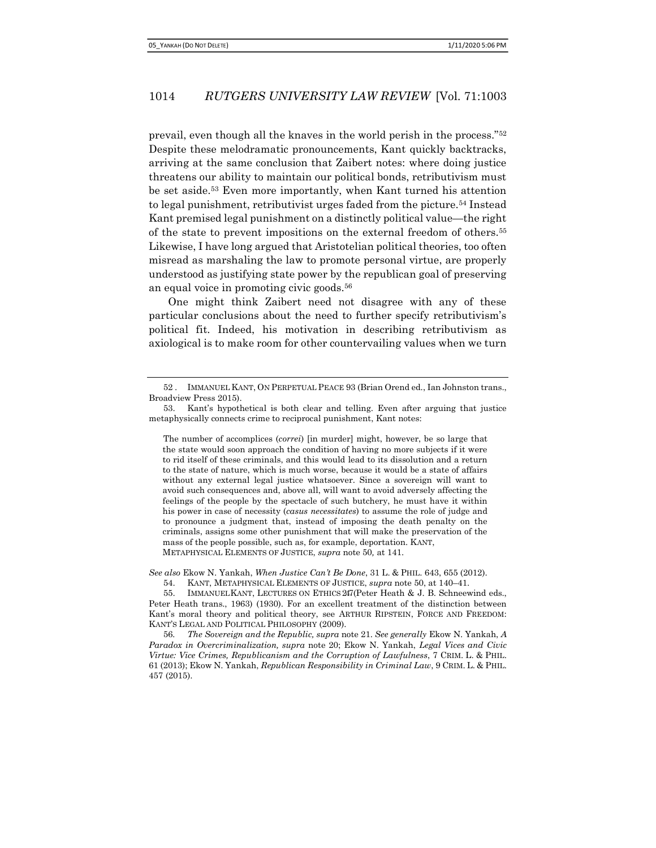prevail, even though all the knaves in the world perish in the process."<sup>52</sup> Despite these melodramatic pronouncements, Kant quickly backtracks, arriving at the same conclusion that Zaibert notes: where doing justice threatens our ability to maintain our political bonds, retributivism must be set aside.53 Even more importantly, when Kant turned his attention to legal punishment, retributivist urges faded from the picture.54 Instead Kant premised legal punishment on a distinctly political value—the right of the state to prevent impositions on the external freedom of others.<sup>55</sup> Likewise, I have long argued that Aristotelian political theories, too often misread as marshaling the law to promote personal virtue, are properly understood as justifying state power by the republican goal of preserving an equal voice in promoting civic goods.<sup>56</sup>

One might think Zaibert need not disagree with any of these particular conclusions about the need to further specify retributivism's political fit. Indeed, his motivation in describing retributivism as axiological is to make room for other countervailing values when we turn

The number of accomplices (correi) [in murder] might, however, be so large that the state would soon approach the condition of having no more subjects if it were to rid itself of these criminals, and this would lead to its dissolution and a return to the state of nature, which is much worse, because it would be a state of affairs without any external legal justice whatsoever. Since a sovereign will want to avoid such consequences and, above all, will want to avoid adversely affecting the feelings of the people by the spectacle of such butchery, he must have it within his power in case of necessity (casus necessitates) to assume the role of judge and to pronounce a judgment that, instead of imposing the death penalty on the criminals, assigns some other punishment that will make the preservation of the mass of the people possible, such as, for example, deportation. KANT, METAPHYSICAL ELEMENTS OF JUSTICE, supra note 50, at 141.

See also Ekow N. Yankah, When Justice Can't Be Done, 31 L. & PHIL. 643, 655 (2012).

54. KANT, METAPHYSICAL ELEMENTS OF JUSTICE, supra note 50, at 140–41.

55. IMMANUEL KANT, LECTURES ON ETHICS 247 (Peter Heath & J. B. Schneewind eds., Peter Heath trans., 1963) (1930). For an excellent treatment of the distinction between Kant's moral theory and political theory, see ARTHUR RIPSTEIN, FORCE AND FREEDOM: KANT'S LEGAL AND POLITICAL PHILOSOPHY (2009).

56. The Sovereign and the Republic, supra note 21. See generally Ekow N. Yankah, A Paradox in Overcriminalization, supra note 20; Ekow N. Yankah, Legal Vices and Civic Virtue: Vice Crimes, Republicanism and the Corruption of Lawfulness, 7 CRIM. L. & PHIL. 61 (2013); Ekow N. Yankah, Republican Responsibility in Criminal Law, 9 CRIM. L. & PHIL. 457 (2015).

<sup>52</sup> . IMMANUEL KANT, ON PERPETUAL PEACE 93 (Brian Orend ed., Ian Johnston trans., Broadview Press 2015).

<sup>53.</sup> Kant's hypothetical is both clear and telling. Even after arguing that justice metaphysically connects crime to reciprocal punishment, Kant notes: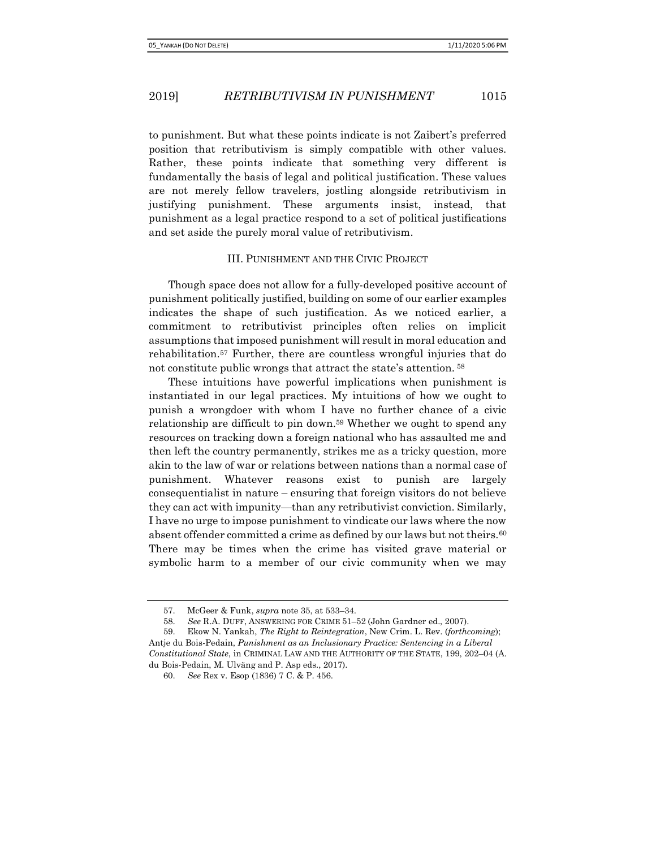to punishment. But what these points indicate is not Zaibert's preferred position that retributivism is simply compatible with other values. Rather, these points indicate that something very different is fundamentally the basis of legal and political justification. These values are not merely fellow travelers, jostling alongside retributivism in justifying punishment. These arguments insist, instead, that punishment as a legal practice respond to a set of political justifications and set aside the purely moral value of retributivism.

#### III. PUNISHMENT AND THE CIVIC PROJECT

Though space does not allow for a fully-developed positive account of punishment politically justified, building on some of our earlier examples indicates the shape of such justification. As we noticed earlier, a commitment to retributivist principles often relies on implicit assumptions that imposed punishment will result in moral education and rehabilitation.57 Further, there are countless wrongful injuries that do not constitute public wrongs that attract the state's attention.<sup>58</sup>

These intuitions have powerful implications when punishment is instantiated in our legal practices. My intuitions of how we ought to punish a wrongdoer with whom I have no further chance of a civic relationship are difficult to pin down.<sup>59</sup> Whether we ought to spend any resources on tracking down a foreign national who has assaulted me and then left the country permanently, strikes me as a tricky question, more akin to the law of war or relations between nations than a normal case of punishment. Whatever reasons exist to punish are largely consequentialist in nature – ensuring that foreign visitors do not believe they can act with impunity—than any retributivist conviction. Similarly, I have no urge to impose punishment to vindicate our laws where the now absent offender committed a crime as defined by our laws but not theirs.<sup>60</sup> There may be times when the crime has visited grave material or symbolic harm to a member of our civic community when we may

<sup>57.</sup> McGeer & Funk, supra note 35, at 533–34.

<sup>58.</sup> See R.A. DUFF, ANSWERING FOR CRIME 51–52 (John Gardner ed., 2007).

<sup>59.</sup> Ekow N. Yankah, The Right to Reintegration, New Crim. L. Rev. (forthcoming); Antje du Bois-Pedain, Punishment as an Inclusionary Practice: Sentencing in a Liberal Constitutional State, in CRIMINAL LAW AND THE AUTHORITY OF THE STATE, 199, 202–04 (A. du Bois-Pedain, M. Ulväng and P. Asp eds., 2017).

<sup>60.</sup> See Rex v. Esop (1836) 7 C. & P. 456.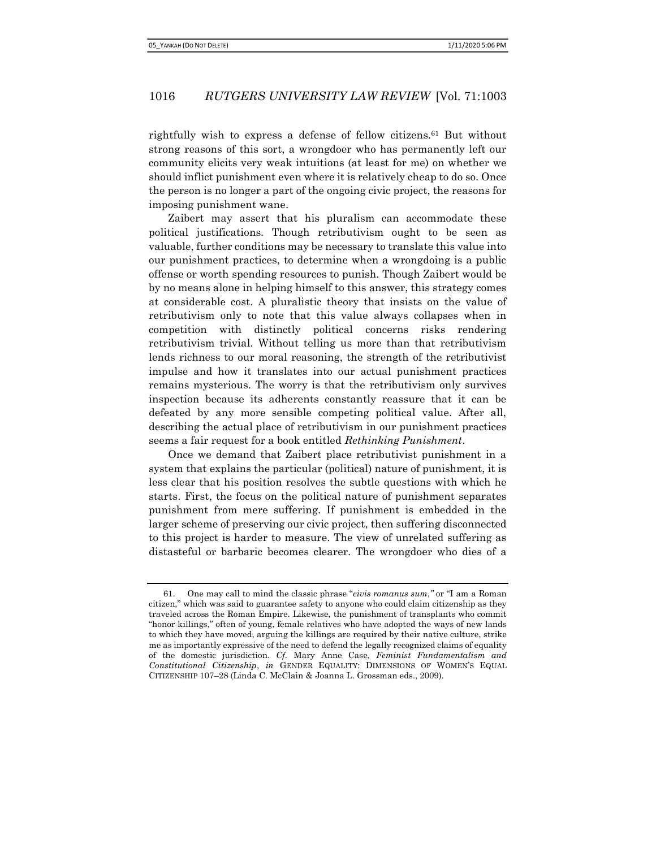rightfully wish to express a defense of fellow citizens.61 But without strong reasons of this sort, a wrongdoer who has permanently left our community elicits very weak intuitions (at least for me) on whether we should inflict punishment even where it is relatively cheap to do so. Once the person is no longer a part of the ongoing civic project, the reasons for imposing punishment wane.

Zaibert may assert that his pluralism can accommodate these political justifications. Though retributivism ought to be seen as valuable, further conditions may be necessary to translate this value into our punishment practices, to determine when a wrongdoing is a public offense or worth spending resources to punish. Though Zaibert would be by no means alone in helping himself to this answer, this strategy comes at considerable cost. A pluralistic theory that insists on the value of retributivism only to note that this value always collapses when in competition with distinctly political concerns risks rendering retributivism trivial. Without telling us more than that retributivism lends richness to our moral reasoning, the strength of the retributivist impulse and how it translates into our actual punishment practices remains mysterious. The worry is that the retributivism only survives inspection because its adherents constantly reassure that it can be defeated by any more sensible competing political value. After all, describing the actual place of retributivism in our punishment practices seems a fair request for a book entitled Rethinking Punishment.

Once we demand that Zaibert place retributivist punishment in a system that explains the particular (political) nature of punishment, it is less clear that his position resolves the subtle questions with which he starts. First, the focus on the political nature of punishment separates punishment from mere suffering. If punishment is embedded in the larger scheme of preserving our civic project, then suffering disconnected to this project is harder to measure. The view of unrelated suffering as distasteful or barbaric becomes clearer. The wrongdoer who dies of a

<sup>61.</sup> One may call to mind the classic phrase "civis romanus sum," or "I am a Roman" citizen," which was said to guarantee safety to anyone who could claim citizenship as they traveled across the Roman Empire. Likewise, the punishment of transplants who commit "honor killings," often of young, female relatives who have adopted the ways of new lands to which they have moved, arguing the killings are required by their native culture, strike me as importantly expressive of the need to defend the legally recognized claims of equality of the domestic jurisdiction. Cf. Mary Anne Case, Feminist Fundamentalism and Constitutional Citizenship, in GENDER EQUALITY: DIMENSIONS OF WOMEN'S EQUAL CITIZENSHIP 107–28 (Linda C. McClain & Joanna L. Grossman eds., 2009).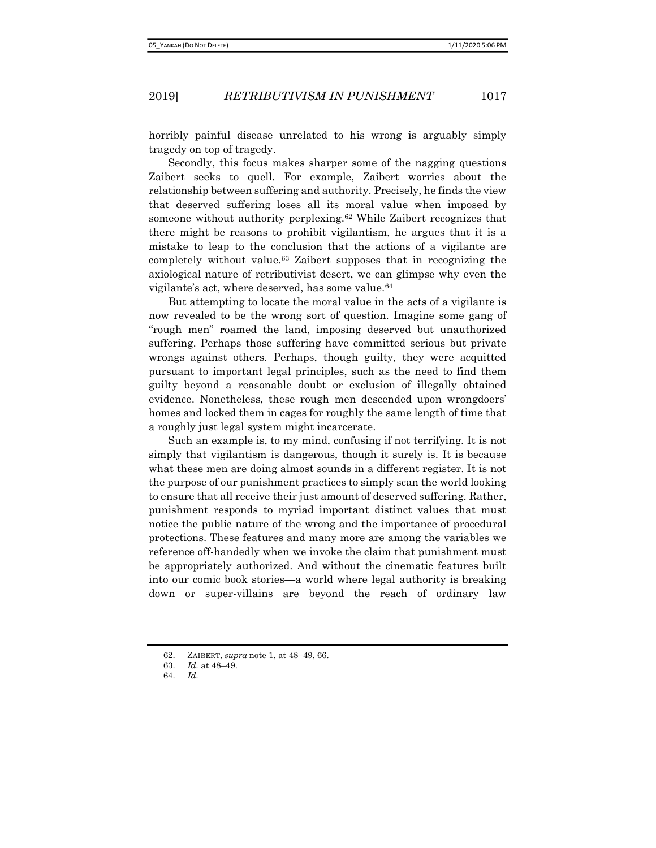horribly painful disease unrelated to his wrong is arguably simply tragedy on top of tragedy.

Secondly, this focus makes sharper some of the nagging questions Zaibert seeks to quell. For example, Zaibert worries about the relationship between suffering and authority. Precisely, he finds the view that deserved suffering loses all its moral value when imposed by someone without authority perplexing.<sup>62</sup> While Zaibert recognizes that there might be reasons to prohibit vigilantism, he argues that it is a mistake to leap to the conclusion that the actions of a vigilante are completely without value.63 Zaibert supposes that in recognizing the axiological nature of retributivist desert, we can glimpse why even the vigilante's act, where deserved, has some value.<sup>64</sup>

But attempting to locate the moral value in the acts of a vigilante is now revealed to be the wrong sort of question. Imagine some gang of "rough men" roamed the land, imposing deserved but unauthorized suffering. Perhaps those suffering have committed serious but private wrongs against others. Perhaps, though guilty, they were acquitted pursuant to important legal principles, such as the need to find them guilty beyond a reasonable doubt or exclusion of illegally obtained evidence. Nonetheless, these rough men descended upon wrongdoers' homes and locked them in cages for roughly the same length of time that a roughly just legal system might incarcerate.

Such an example is, to my mind, confusing if not terrifying. It is not simply that vigilantism is dangerous, though it surely is. It is because what these men are doing almost sounds in a different register. It is not the purpose of our punishment practices to simply scan the world looking to ensure that all receive their just amount of deserved suffering. Rather, punishment responds to myriad important distinct values that must notice the public nature of the wrong and the importance of procedural protections. These features and many more are among the variables we reference off-handedly when we invoke the claim that punishment must be appropriately authorized. And without the cinematic features built into our comic book stories—a world where legal authority is breaking down or super-villains are beyond the reach of ordinary law

<sup>62.</sup> ZAIBERT, supra note 1, at 48–49, 66.

<sup>63.</sup> Id. at 48–49.

<sup>64.</sup> Id.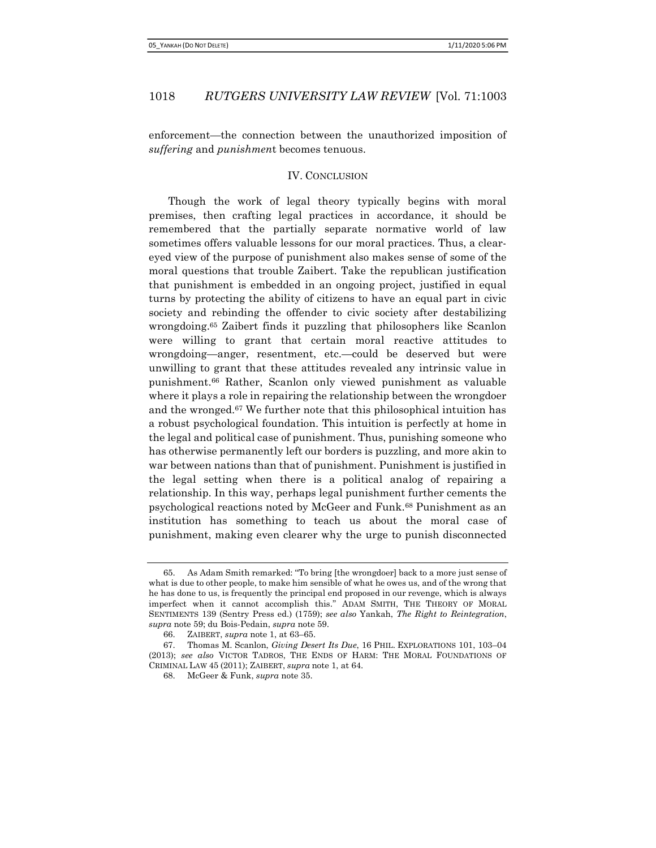enforcement—the connection between the unauthorized imposition of suffering and *punishment* becomes tenuous.

### IV. CONCLUSION

Though the work of legal theory typically begins with moral premises, then crafting legal practices in accordance, it should be remembered that the partially separate normative world of law sometimes offers valuable lessons for our moral practices. Thus, a cleareyed view of the purpose of punishment also makes sense of some of the moral questions that trouble Zaibert. Take the republican justification that punishment is embedded in an ongoing project, justified in equal turns by protecting the ability of citizens to have an equal part in civic society and rebinding the offender to civic society after destabilizing wrongdoing.65 Zaibert finds it puzzling that philosophers like Scanlon were willing to grant that certain moral reactive attitudes to wrongdoing—anger, resentment, etc.—could be deserved but were unwilling to grant that these attitudes revealed any intrinsic value in punishment.66 Rather, Scanlon only viewed punishment as valuable where it plays a role in repairing the relationship between the wrongdoer and the wronged.67 We further note that this philosophical intuition has a robust psychological foundation. This intuition is perfectly at home in the legal and political case of punishment. Thus, punishing someone who has otherwise permanently left our borders is puzzling, and more akin to war between nations than that of punishment. Punishment is justified in the legal setting when there is a political analog of repairing a relationship. In this way, perhaps legal punishment further cements the psychological reactions noted by McGeer and Funk.68 Punishment as an institution has something to teach us about the moral case of punishment, making even clearer why the urge to punish disconnected

<sup>65.</sup> As Adam Smith remarked: ''To bring [the wrongdoer] back to a more just sense of what is due to other people, to make him sensible of what he owes us, and of the wrong that he has done to us, is frequently the principal end proposed in our revenge, which is always imperfect when it cannot accomplish this.'' ADAM SMITH, THE THEORY OF MORAL SENTIMENTS 139 (Sentry Press ed.) (1759); see also Yankah, The Right to Reintegration, supra note 59; du Bois-Pedain, supra note 59.

<sup>66.</sup> ZAIBERT, supra note 1, at 63–65.

<sup>67.</sup> Thomas M. Scanlon, Giving Desert Its Due, 16 PHIL. EXPLORATIONS 101, 103–04 (2013); see also VICTOR TADROS, THE ENDS OF HARM: THE MORAL FOUNDATIONS OF CRIMINAL LAW 45 (2011); ZAIBERT, supra note 1, at 64.

<sup>68.</sup> McGeer & Funk, supra note 35.